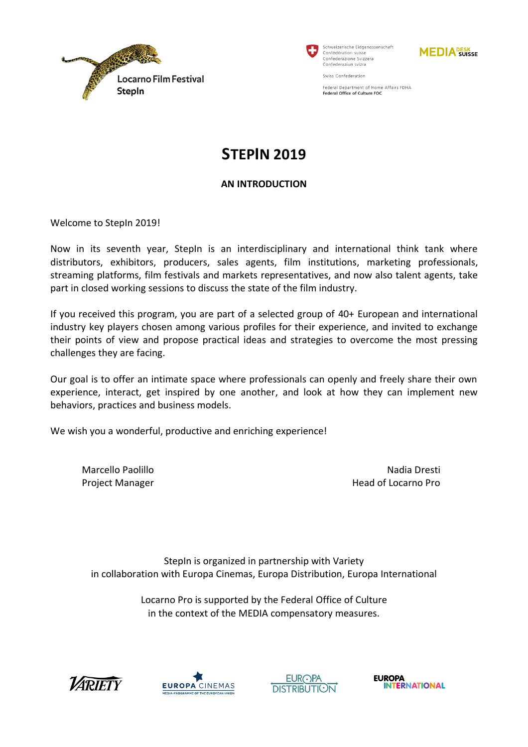



Schweizerische Eidgenossenschaft Confédération suiss Confederazione Svizzera Confederaziun svizra

Swiss Confederation



Federal Department of Home Affairs FDHA Federal Office of Culture FOC

# **STEPIN 2019**

### **AN INTRODUCTION**

Welcome to StepIn 2019!

Now in its seventh year, StepIn is an interdisciplinary and international think tank where distributors, exhibitors, producers, sales agents, film institutions, marketing professionals, streaming platforms, film festivals and markets representatives, and now also talent agents, take part in closed working sessions to discuss the state of the film industry.

If you received this program, you are part of a selected group of 40+ European and international industry key players chosen among various profiles for their experience, and invited to exchange their points of view and propose practical ideas and strategies to overcome the most pressing challenges they are facing.

Our goal is to offer an intimate space where professionals can openly and freely share their own experience, interact, get inspired by one another, and look at how they can implement new behaviors, practices and business models.

We wish you a wonderful, productive and enriching experience!

Marcello Paolillo Project Manager

Nadia Dresti Head of Locarno Pro

StepIn is organized in partnership with Variety in collaboration with Europa Cinemas, Europa Distribution, Europa International

> Locarno Pro is supported by the Federal Office of Culture in the context of the MEDIA compensatory measures.







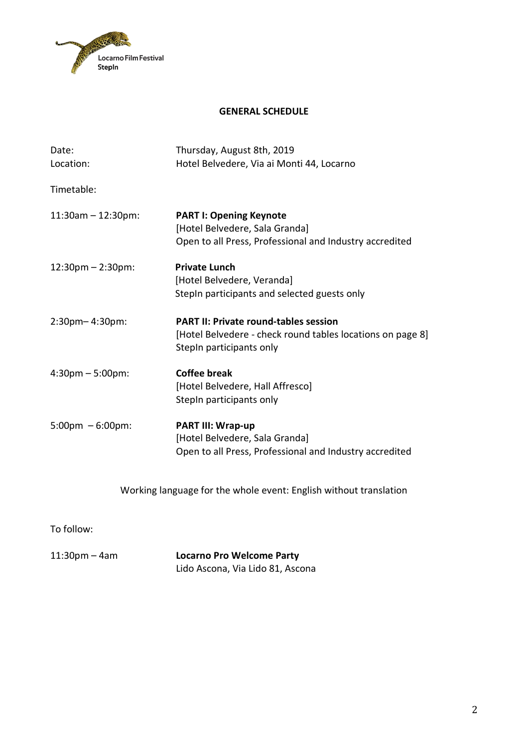

#### **GENERAL SCHEDULE**

| Date:                             | Thursday, August 8th, 2019                                                                                                             |  |  |
|-----------------------------------|----------------------------------------------------------------------------------------------------------------------------------------|--|--|
| Location:                         | Hotel Belvedere, Via ai Monti 44, Locarno                                                                                              |  |  |
| Timetable:                        |                                                                                                                                        |  |  |
| $11:30am - 12:30pm$ :             | <b>PART I: Opening Keynote</b><br>[Hotel Belvedere, Sala Granda]<br>Open to all Press, Professional and Industry accredited            |  |  |
| 12:30pm - 2:30pm:                 | <b>Private Lunch</b><br>[Hotel Belvedere, Veranda]<br>StepIn participants and selected guests only                                     |  |  |
| 2:30pm-4:30pm:                    | <b>PART II: Private round-tables session</b><br>[Hotel Belvedere - check round tables locations on page 8]<br>Stepln participants only |  |  |
| $4:30 \text{pm} - 5:00 \text{pm}$ | <b>Coffee break</b><br>[Hotel Belvedere, Hall Affresco]<br>Stepln participants only                                                    |  |  |
| $5:00 \text{pm} - 6:00 \text{pm}$ | <b>PART III: Wrap-up</b><br>[Hotel Belvedere, Sala Granda]<br>Open to all Press, Professional and Industry accredited                  |  |  |
|                                   | Working language for the whole event: English without translation                                                                      |  |  |

To follow:

11:30pm – 4am **Locarno Pro Welcome Party** Lido Ascona, Via Lido 81, Ascona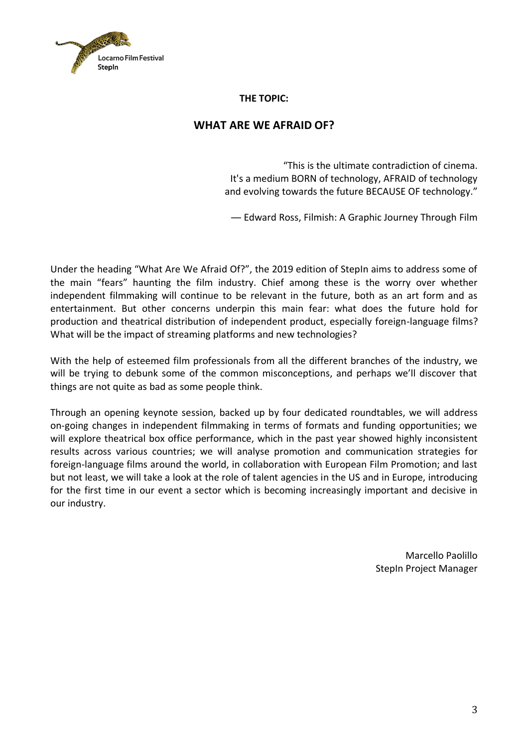

**THE TOPIC:**

# **WHAT ARE WE AFRAID OF?**

"This is the ultimate contradiction of cinema. It's a medium BORN of technology, AFRAID of technology and evolving towards the future BECAUSE OF technology."

― Edward Ross, Filmish: A Graphic Journey Through Film

Under the heading "What Are We Afraid Of?", the 2019 edition of StepIn aims to address some of the main "fears" haunting the film industry. Chief among these is the worry over whether independent filmmaking will continue to be relevant in the future, both as an art form and as entertainment. But other concerns underpin this main fear: what does the future hold for production and theatrical distribution of independent product, especially foreign-language films? What will be the impact of streaming platforms and new technologies?

With the help of esteemed film professionals from all the different branches of the industry, we will be trying to debunk some of the common misconceptions, and perhaps we'll discover that things are not quite as bad as some people think.

Through an opening keynote session, backed up by four dedicated roundtables, we will address on-going changes in independent filmmaking in terms of formats and funding opportunities; we will explore theatrical box office performance, which in the past year showed highly inconsistent results across various countries; we will analyse promotion and communication strategies for foreign-language films around the world, in collaboration with European Film Promotion; and last but not least, we will take a look at the role of talent agencies in the US and in Europe, introducing for the first time in our event a sector which is becoming increasingly important and decisive in our industry.

> Marcello Paolillo StepIn Project Manager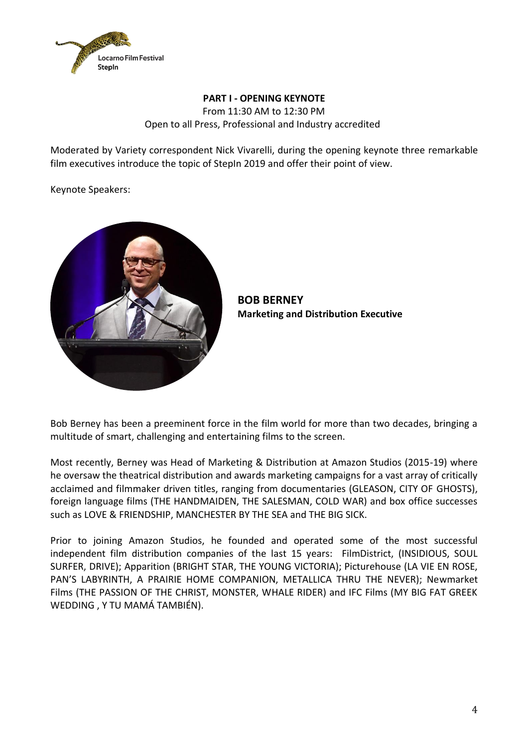

### **PART I - OPENING KEYNOTE** From 11:30 AM to 12:30 PM Open to all Press, Professional and Industry accredited

Moderated by Variety correspondent Nick Vivarelli, during the opening keynote three remarkable film executives introduce the topic of StepIn 2019 and offer their point of view.

Keynote Speakers:



**BOB BERNEY Marketing and Distribution Executive**

Bob Berney has been a preeminent force in the film world for more than two decades, bringing a multitude of smart, challenging and entertaining films to the screen.

Most recently, Berney was Head of Marketing & Distribution at Amazon Studios (2015-19) where he oversaw the theatrical distribution and awards marketing campaigns for a vast array of critically acclaimed and filmmaker driven titles, ranging from documentaries (GLEASON, CITY OF GHOSTS), foreign language films (THE HANDMAIDEN, THE SALESMAN, COLD WAR) and box office successes such as LOVE & FRIENDSHIP, MANCHESTER BY THE SEA and THE BIG SICK.

Prior to joining Amazon Studios, he founded and operated some of the most successful independent film distribution companies of the last 15 years: FilmDistrict, (INSIDIOUS, SOUL SURFER, DRIVE); Apparition (BRIGHT STAR, THE YOUNG VICTORIA); Picturehouse (LA VIE EN ROSE, PAN'S LABYRINTH, A PRAIRIE HOME COMPANION, METALLICA THRU THE NEVER); Newmarket Films (THE PASSION OF THE CHRIST, MONSTER, WHALE RIDER) and IFC Films (MY BIG FAT GREEK WEDDING , Y TU MAMÁ TAMBIÉN).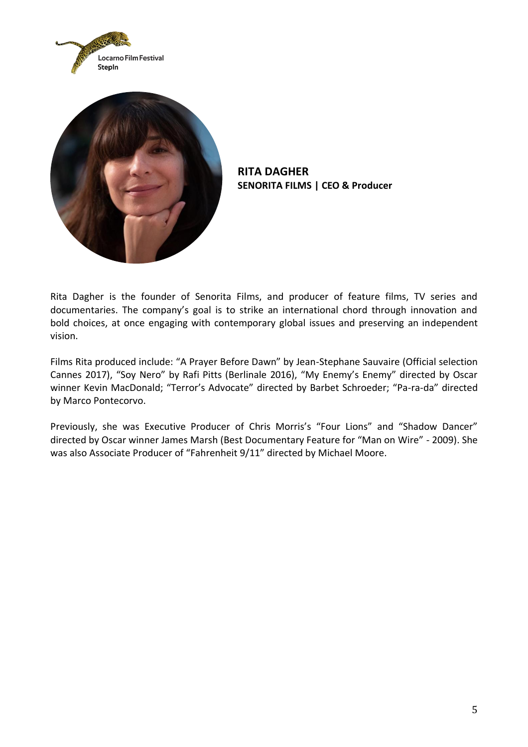



**RITA DAGHER SENORITA FILMS | CEO & Producer**

Rita Dagher is the founder of Senorita Films, and producer of feature films, TV series and documentaries. The company's goal is to strike an international chord through innovation and bold choices, at once engaging with contemporary global issues and preserving an independent vision.

Films Rita produced include: "A Prayer Before Dawn" by Jean-Stephane Sauvaire (Official selection Cannes 2017), "Soy Nero" by Rafi Pitts (Berlinale 2016), "My Enemy's Enemy" directed by Oscar winner Kevin MacDonald; "Terror's Advocate" directed by Barbet Schroeder; "Pa-ra-da" directed by Marco Pontecorvo.

Previously, she was Executive Producer of Chris Morris's "Four Lions" and "Shadow Dancer" directed by Oscar winner James Marsh (Best Documentary Feature for "Man on Wire" - 2009). She was also Associate Producer of "Fahrenheit 9/11" directed by Michael Moore.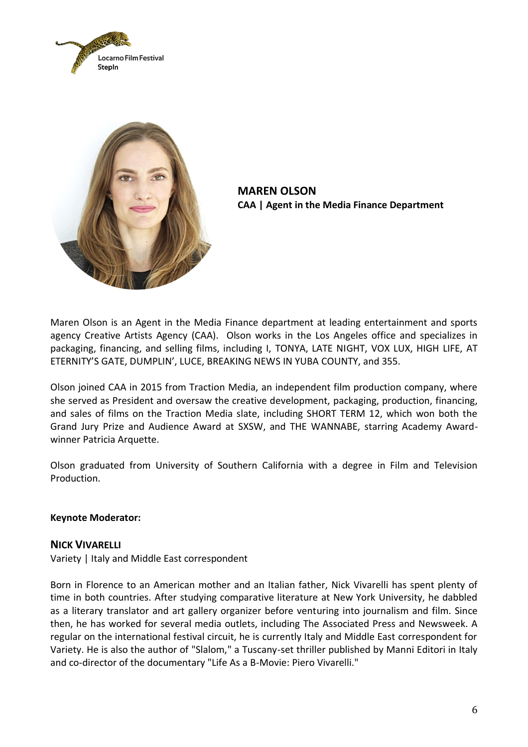



**MAREN OLSON CAA | Agent in the Media Finance Department**

Maren Olson is an Agent in the Media Finance department at leading entertainment and sports agency Creative Artists Agency (CAA). Olson works in the Los Angeles office and specializes in packaging, financing, and selling films, including I, TONYA, LATE NIGHT, VOX LUX, HIGH LIFE, AT ETERNITY'S GATE, DUMPLIN', LUCE, BREAKING NEWS IN YUBA COUNTY, and 355.

Olson joined CAA in 2015 from Traction Media, an independent film production company, where she served as President and oversaw the creative development, packaging, production, financing, and sales of films on the Traction Media slate, including SHORT TERM 12, which won both the Grand Jury Prize and Audience Award at SXSW, and THE WANNABE, starring Academy Awardwinner Patricia Arquette.

Olson graduated from University of Southern California with a degree in Film and Television Production.

#### **Keynote Moderator:**

#### **NICK VIVARELLI**

Variety | Italy and Middle East correspondent

Born in Florence to an American mother and an Italian father, Nick Vivarelli has spent plenty of time in both countries. After studying comparative literature at New York University, he dabbled as a literary translator and art gallery organizer before venturing into journalism and film. Since then, he has worked for several media outlets, including The Associated Press and Newsweek. A regular on the international festival circuit, he is currently Italy and Middle East correspondent for Variety. He is also the author of "Slalom," a Tuscany-set thriller published by Manni Editori in Italy and co-director of the documentary "Life As a B-Movie: Piero Vivarelli."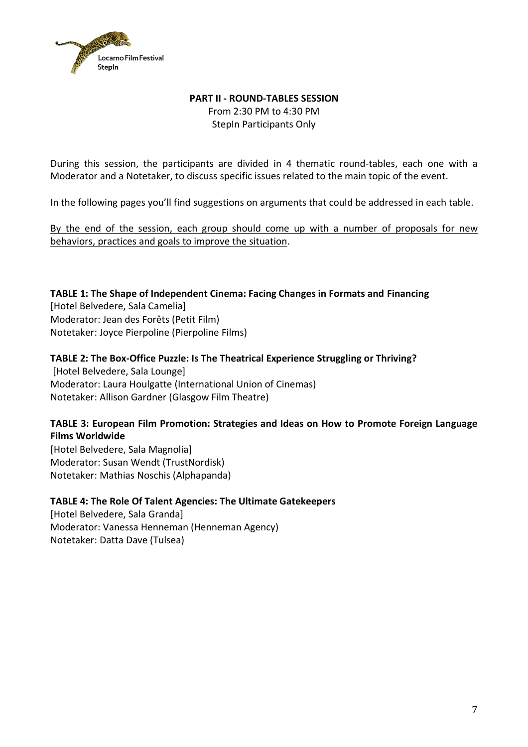

# **PART II - ROUND-TABLES SESSION** From 2:30 PM to 4:30 PM StepIn Participants Only

During this session, the participants are divided in 4 thematic round-tables, each one with a Moderator and a Notetaker, to discuss specific issues related to the main topic of the event.

In the following pages you'll find suggestions on arguments that could be addressed in each table.

By the end of the session, each group should come up with a number of proposals for new behaviors, practices and goals to improve the situation.

### **TABLE 1: The Shape of Independent Cinema: Facing Changes in Formats and Financing**

[Hotel Belvedere, Sala Camelia] Moderator: Jean des Forêts (Petit Film) Notetaker: Joyce Pierpoline (Pierpoline Films)

# **TABLE 2: The Box-Office Puzzle: Is The Theatrical Experience Struggling or Thriving?** [Hotel Belvedere, Sala Lounge]

Moderator: Laura Houlgatte (International Union of Cinemas) Notetaker: Allison Gardner (Glasgow Film Theatre)

### **TABLE 3: European Film Promotion: Strategies and Ideas on How to Promote Foreign Language Films Worldwide**

[Hotel Belvedere, Sala Magnolia] Moderator: Susan Wendt (TrustNordisk) Notetaker: Mathias Noschis (Alphapanda)

### **TABLE 4: The Role Of Talent Agencies: The Ultimate Gatekeepers**

[Hotel Belvedere, Sala Granda] Moderator: Vanessa Henneman (Henneman Agency) Notetaker: Datta Dave (Tulsea)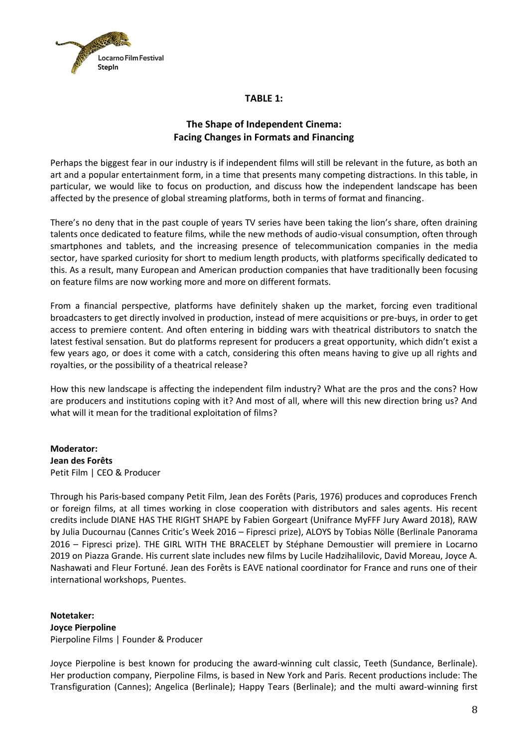

#### **TABLE 1:**

# **The Shape of Independent Cinema: Facing Changes in Formats and Financing**

Perhaps the biggest fear in our industry is if independent films will still be relevant in the future, as both an art and a popular entertainment form, in a time that presents many competing distractions. In this table, in particular, we would like to focus on production, and discuss how the independent landscape has been affected by the presence of global streaming platforms, both in terms of format and financing.

There's no deny that in the past couple of years TV series have been taking the lion's share, often draining talents once dedicated to feature films, while the new methods of audio-visual consumption, often through smartphones and tablets, and the increasing presence of telecommunication companies in the media sector, have sparked curiosity for short to medium length products, with platforms specifically dedicated to this. As a result, many European and American production companies that have traditionally been focusing on feature films are now working more and more on different formats.

From a financial perspective, platforms have definitely shaken up the market, forcing even traditional broadcasters to get directly involved in production, instead of mere acquisitions or pre-buys, in order to get access to premiere content. And often entering in bidding wars with theatrical distributors to snatch the latest festival sensation. But do platforms represent for producers a great opportunity, which didn't exist a few years ago, or does it come with a catch, considering this often means having to give up all rights and royalties, or the possibility of a theatrical release?

How this new landscape is affecting the independent film industry? What are the pros and the cons? How are producers and institutions coping with it? And most of all, where will this new direction bring us? And what will it mean for the traditional exploitation of films?

**Moderator: Jean des Forêts**  Petit Film | CEO & Producer

Through his Paris-based company Petit Film, Jean des Forêts (Paris, 1976) produces and coproduces French or foreign films, at all times working in close cooperation with distributors and sales agents. His recent credits include DIANE HAS THE RIGHT SHAPE by Fabien Gorgeart (Unifrance MyFFF Jury Award 2018), RAW by Julia Ducournau (Cannes Critic's Week 2016 – Fipresci prize), ALOYS by Tobias Nölle (Berlinale Panorama 2016 – Fipresci prize). THE GIRL WITH THE BRACELET by Stéphane Demoustier will premiere in Locarno 2019 on Piazza Grande. His current slate includes new films by Lucile Hadzihalilovic, David Moreau, Joyce A. Nashawati and Fleur Fortuné. Jean des Forêts is EAVE national coordinator for France and runs one of their international workshops, Puentes.

**Notetaker: Joyce Pierpoline** Pierpoline Films | Founder & Producer

Joyce Pierpoline is best known for producing the award-winning cult classic, Teeth (Sundance, Berlinale). Her production company, Pierpoline Films, is based in New York and Paris. Recent productions include: The Transfiguration (Cannes); Angelica (Berlinale); Happy Tears (Berlinale); and the multi award-winning first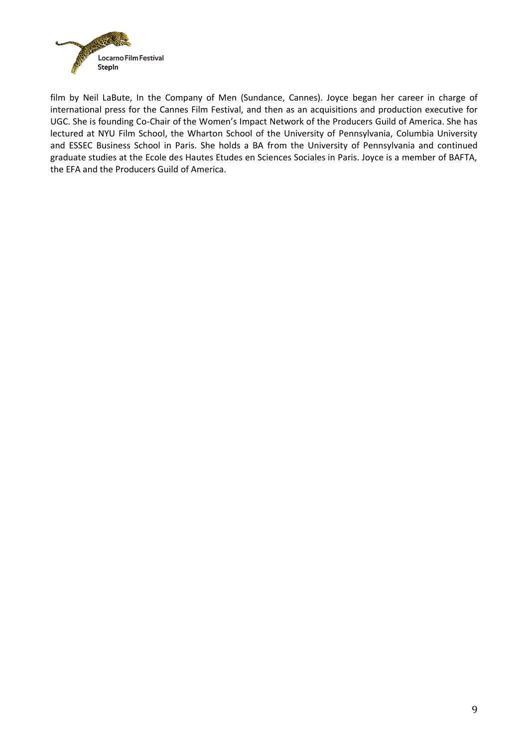

film by Neil LaBute, In the Company of Men (Sundance, Cannes). Joyce began her career in charge of international press for the Cannes Film Festival, and then as an acquisitions and production executive for UGC. She is founding Co-Chair of the Women's Impact Network of the Producers Guild of America. She has lectured at NYU Film School, the Wharton School of the University of Pennsylvania, Columbia University and ESSEC Business School in Paris. She holds a BA from the University of Pennsylvania and continued graduate studies at the Ecole des Hautes Etudes en Sciences Sociales in Paris. Joyce is a member of BAFTA, the EFA and the Producers Guild of America.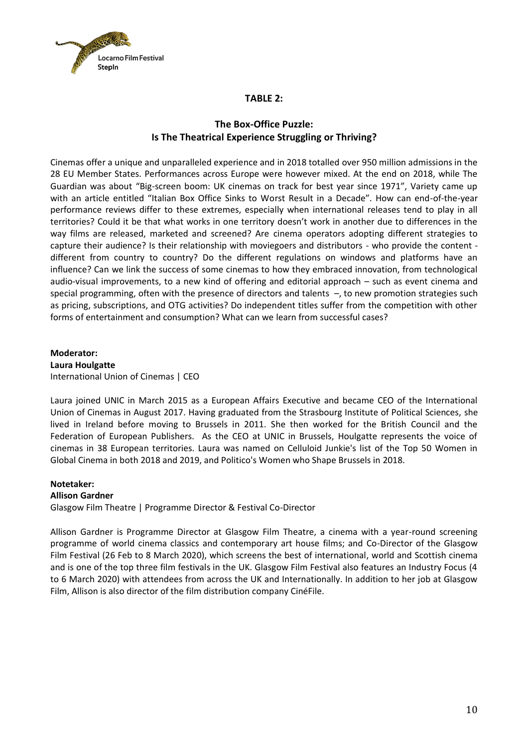

#### **TABLE 2:**

### **The Box-Office Puzzle: Is The Theatrical Experience Struggling or Thriving?**

Cinemas offer a unique and unparalleled experience and in 2018 totalled over 950 million admissions in the 28 EU Member States. Performances across Europe were however mixed. At the end on 2018, while The Guardian was about "Big-screen boom: UK cinemas on track for best year since 1971", Variety came up with an article entitled "Italian Box Office Sinks to Worst Result in a Decade". How can end-of-the-year performance reviews differ to these extremes, especially when international releases tend to play in all territories? Could it be that what works in one territory doesn't work in another due to differences in the way films are released, marketed and screened? Are cinema operators adopting different strategies to capture their audience? Is their relationship with moviegoers and distributors - who provide the content different from country to country? Do the different regulations on windows and platforms have an influence? Can we link the success of some cinemas to how they embraced innovation, from technological audio-visual improvements, to a new kind of offering and editorial approach – such as event cinema and special programming, often with the presence of directors and talents –, to new promotion strategies such as pricing, subscriptions, and OTG activities? Do independent titles suffer from the competition with other forms of entertainment and consumption? What can we learn from successful cases?

**Moderator: Laura Houlgatte** International Union of Cinemas | CEO

Laura joined UNIC in March 2015 as a European Affairs Executive and became CEO of the International Union of Cinemas in August 2017. Having graduated from the Strasbourg Institute of Political Sciences, she lived in Ireland before moving to Brussels in 2011. She then worked for the British Council and the Federation of European Publishers. As the CEO at UNIC in Brussels, Houlgatte represents the voice of cinemas in 38 European territories. Laura was named on Celluloid Junkie's list of the Top 50 Women in Global Cinema in both 2018 and 2019, and Politico's Women who Shape Brussels in 2018.

#### **Notetaker:**

#### **Allison Gardner**

Glasgow Film Theatre | Programme Director & Festival Co-Director

Allison Gardner is Programme Director at Glasgow Film Theatre, a cinema with a year-round screening programme of world cinema classics and contemporary art house films; and Co-Director of the Glasgow Film Festival (26 Feb to 8 March 2020), which screens the best of international, world and Scottish cinema and is one of the top three film festivals in the UK. Glasgow Film Festival also features an Industry Focus (4 to 6 March 2020) with attendees from across the UK and Internationally. In addition to her job at Glasgow Film, Allison is also director of the film distribution company CinéFile.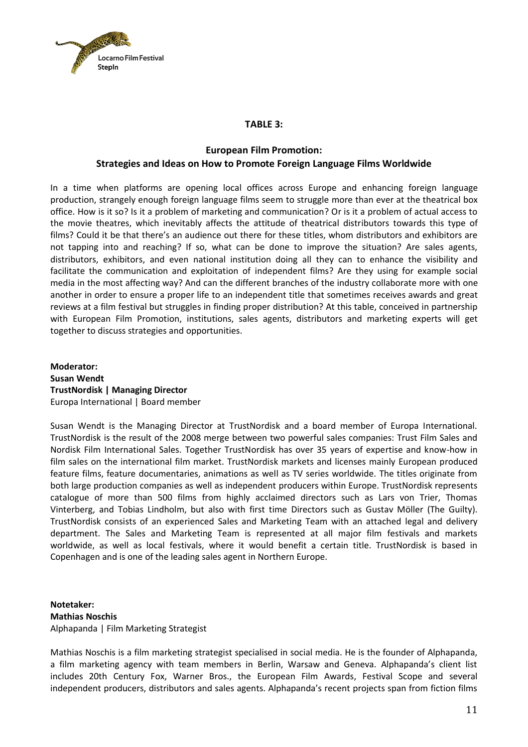

#### **TABLE 3:**

### **European Film Promotion: Strategies and Ideas on How to Promote Foreign Language Films Worldwide**

In a time when platforms are opening local offices across Europe and enhancing foreign language production, strangely enough foreign language films seem to struggle more than ever at the theatrical box office. How is it so? Is it a problem of marketing and communication? Or is it a problem of actual access to the movie theatres, which inevitably affects the attitude of theatrical distributors towards this type of films? Could it be that there's an audience out there for these titles, whom distributors and exhibitors are not tapping into and reaching? If so, what can be done to improve the situation? Are sales agents, distributors, exhibitors, and even national institution doing all they can to enhance the visibility and facilitate the communication and exploitation of independent films? Are they using for example social media in the most affecting way? And can the different branches of the industry collaborate more with one another in order to ensure a proper life to an independent title that sometimes receives awards and great reviews at a film festival but struggles in finding proper distribution? At this table, conceived in partnership with European Film Promotion, institutions, sales agents, distributors and marketing experts will get together to discuss strategies and opportunities.

**Moderator: Susan Wendt TrustNordisk | Managing Director** Europa International | Board member

Susan Wendt is the Managing Director at TrustNordisk and a board member of Europa International. TrustNordisk is the result of the 2008 merge between two powerful sales companies: Trust Film Sales and Nordisk Film International Sales. Together TrustNordisk has over 35 years of expertise and know-how in film sales on the international film market. TrustNordisk markets and licenses mainly European produced feature films, feature documentaries, animations as well as TV series worldwide. The titles originate from both large production companies as well as independent producers within Europe. TrustNordisk represents catalogue of more than 500 films from highly acclaimed directors such as Lars von Trier, Thomas Vinterberg, and Tobias Lindholm, but also with first time Directors such as Gustav Möller (The Guilty). TrustNordisk consists of an experienced Sales and Marketing Team with an attached legal and delivery department. The Sales and Marketing Team is represented at all major film festivals and markets worldwide, as well as local festivals, where it would benefit a certain title. TrustNordisk is based in Copenhagen and is one of the leading sales agent in Northern Europe.

**Notetaker: Mathias Noschis** Alphapanda | Film Marketing Strategist

Mathias Noschis is a film marketing strategist specialised in social media. He is the founder of Alphapanda, a film marketing agency with team members in Berlin, Warsaw and Geneva. Alphapanda's client list includes 20th Century Fox, Warner Bros., the European Film Awards, Festival Scope and several independent producers, distributors and sales agents. Alphapanda's recent projects span from fiction films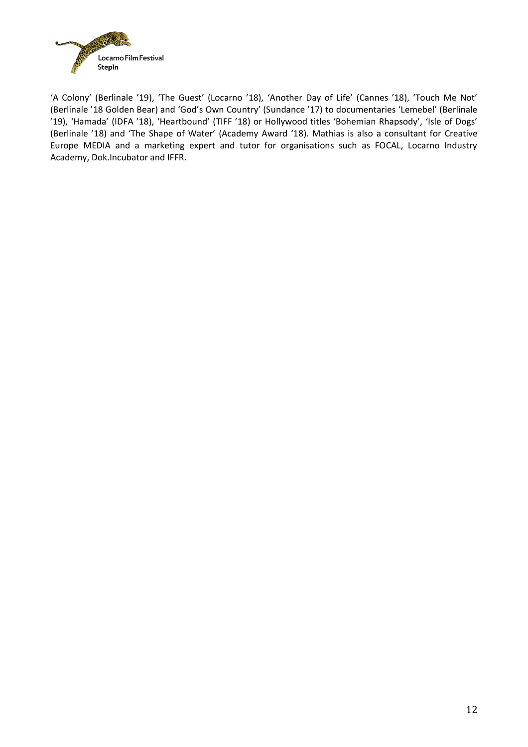

'A Colony' (Berlinale '19), 'The Guest' (Locarno '18), 'Another Day of Life' (Cannes '18), 'Touch Me Not' (Berlinale '18 Golden Bear) and 'God's Own Country' (Sundance '17) to documentaries 'Lemebel' (Berlinale '19), 'Hamada' (IDFA '18), 'Heartbound' (TIFF '18) or Hollywood titles 'Bohemian Rhapsody', 'Isle of Dogs' (Berlinale '18) and 'The Shape of Water' (Academy Award '18). Mathias is also a consultant for Creative Europe MEDIA and a marketing expert and tutor for organisations such as FOCAL, Locarno Industry Academy, Dok.Incubator and IFFR.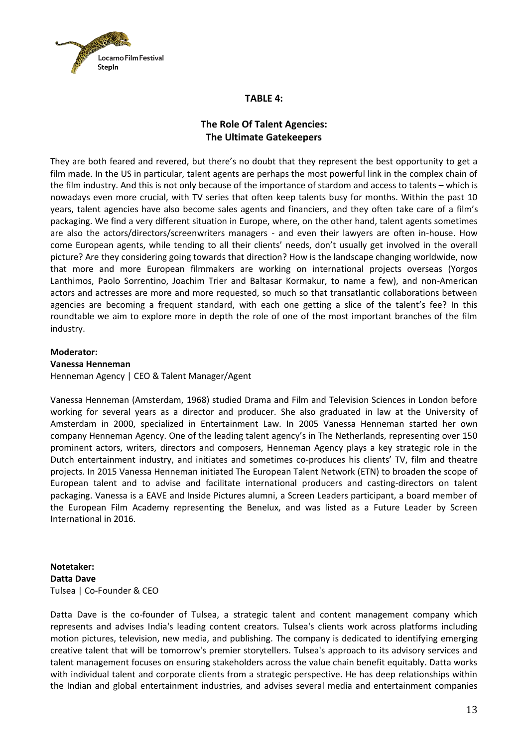

#### **TABLE 4:**

## **The Role Of Talent Agencies: The Ultimate Gatekeepers**

They are both feared and revered, but there's no doubt that they represent the best opportunity to get a film made. In the US in particular, talent agents are perhaps the most powerful link in the complex chain of the film industry. And this is not only because of the importance of stardom and access to talents – which is nowadays even more crucial, with TV series that often keep talents busy for months. Within the past 10 years, talent agencies have also become sales agents and financiers, and they often take care of a film's packaging. We find a very different situation in Europe, where, on the other hand, talent agents sometimes are also the actors/directors/screenwriters managers - and even their lawyers are often in-house. How come European agents, while tending to all their clients' needs, don't usually get involved in the overall picture? Are they considering going towards that direction? How is the landscape changing worldwide, now that more and more European filmmakers are working on international projects overseas (Yorgos Lanthimos, Paolo Sorrentino, Joachim Trier and Baltasar Kormakur, to name a few), and non-American actors and actresses are more and more requested, so much so that transatlantic collaborations between agencies are becoming a frequent standard, with each one getting a slice of the talent's fee? In this roundtable we aim to explore more in depth the role of one of the most important branches of the film industry.

#### **Moderator:**

#### **Vanessa Henneman**

Henneman Agency | CEO & Talent Manager/Agent

Vanessa Henneman (Amsterdam, 1968) studied Drama and Film and Television Sciences in London before working for several years as a director and producer. She also graduated in law at the University of Amsterdam in 2000, specialized in Entertainment Law. In 2005 Vanessa Henneman started her own company Henneman Agency. One of the leading talent agency's in The Netherlands, representing over 150 prominent actors, writers, directors and composers, Henneman Agency plays a key strategic role in the Dutch entertainment industry, and initiates and sometimes co-produces his clients' TV, film and theatre projects. In 2015 Vanessa Henneman initiated The European Talent Network (ETN) to broaden the scope of European talent and to advise and facilitate international producers and casting-directors on talent packaging. Vanessa is a EAVE and Inside Pictures alumni, a Screen Leaders participant, a board member of the European Film Academy representing the Benelux, and was listed as a Future Leader by Screen International in 2016.

#### **Notetaker: Datta Dave** Tulsea | Co-Founder & CEO

Datta Dave is the co-founder of Tulsea, a strategic talent and content management company which represents and advises India's leading content creators. Tulsea's clients work across platforms including motion pictures, television, new media, and publishing. The company is dedicated to identifying emerging creative talent that will be tomorrow's premier storytellers. Tulsea's approach to its advisory services and talent management focuses on ensuring stakeholders across the value chain benefit equitably. Datta works with individual talent and corporate clients from a strategic perspective. He has deep relationships within the Indian and global entertainment industries, and advises several media and entertainment companies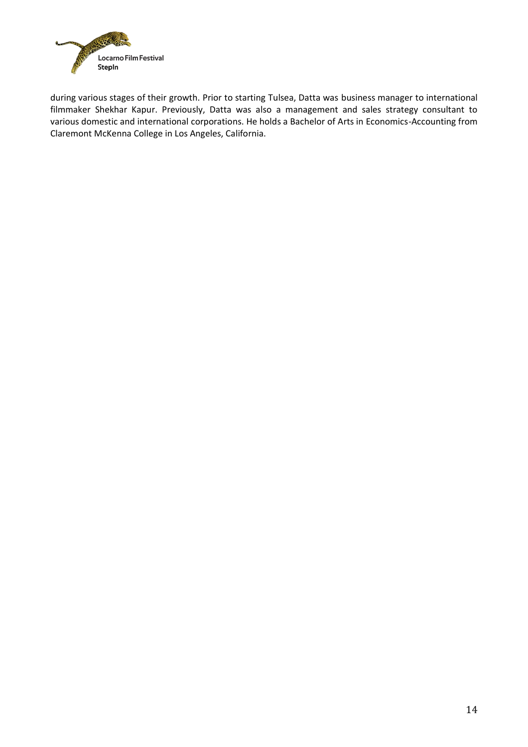

during various stages of their growth. Prior to starting Tulsea, Datta was business manager to international filmmaker Shekhar Kapur. Previously, Datta was also a management and sales strategy consultant to various domestic and international corporations. He holds a Bachelor of Arts in Economics-Accounting from Claremont McKenna College in Los Angeles, California.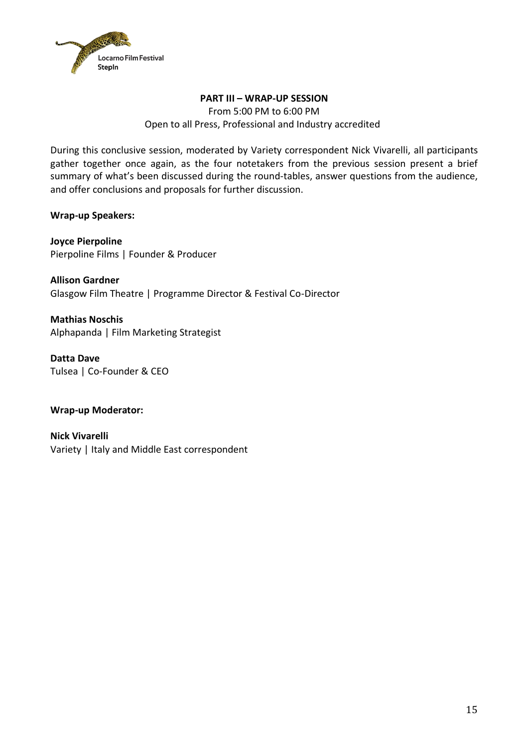

## **PART III – WRAP-UP SESSION** From 5:00 PM to 6:00 PM Open to all Press, Professional and Industry accredited

During this conclusive session, moderated by Variety correspondent Nick Vivarelli, all participants gather together once again, as the four notetakers from the previous session present a brief summary of what's been discussed during the round-tables, answer questions from the audience, and offer conclusions and proposals for further discussion.

**Wrap-up Speakers:**

**Joyce Pierpoline** Pierpoline Films | Founder & Producer

**Allison Gardner** Glasgow Film Theatre | Programme Director & Festival Co-Director

**Mathias Noschis** Alphapanda | Film Marketing Strategist

**Datta Dave** Tulsea | Co-Founder & CEO

**Wrap-up Moderator:** 

**Nick Vivarelli**  Variety | Italy and Middle East correspondent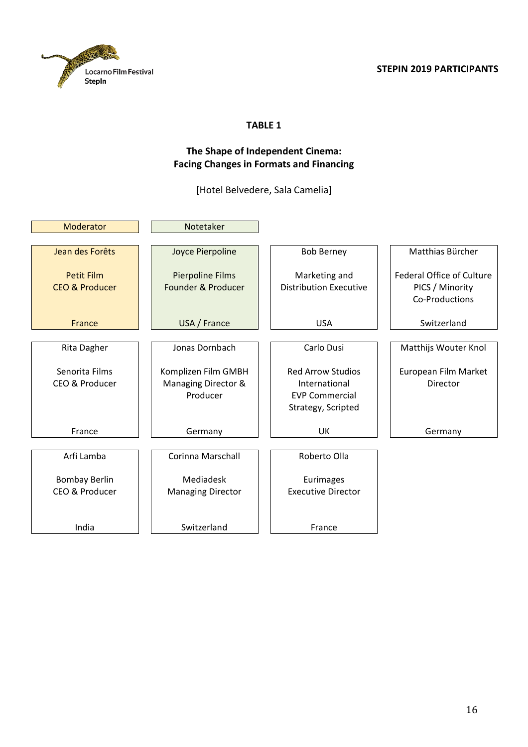



# **The Shape of Independent Cinema: Facing Changes in Formats and Financing**

[Hotel Belvedere, Sala Camelia]

| Moderator                                      | Notetaker                                              |                                                                                          |                                                                       |
|------------------------------------------------|--------------------------------------------------------|------------------------------------------------------------------------------------------|-----------------------------------------------------------------------|
|                                                |                                                        |                                                                                          |                                                                       |
| Jean des Forêts                                | Joyce Pierpoline                                       | <b>Bob Berney</b>                                                                        | Matthias Bürcher                                                      |
| <b>Petit Film</b><br><b>CEO &amp; Producer</b> | <b>Pierpoline Films</b><br>Founder & Producer          | Marketing and<br><b>Distribution Executive</b>                                           | <b>Federal Office of Culture</b><br>PICS / Minority<br>Co-Productions |
| France                                         | USA / France                                           | <b>USA</b>                                                                               | Switzerland                                                           |
|                                                |                                                        |                                                                                          |                                                                       |
| Rita Dagher                                    | Jonas Dornbach                                         | Carlo Dusi                                                                               | Matthijs Wouter Knol                                                  |
| Senorita Films<br>CEO & Producer               | Komplizen Film GMBH<br>Managing Director &<br>Producer | <b>Red Arrow Studios</b><br>International<br><b>EVP Commercial</b><br>Strategy, Scripted | European Film Market<br>Director                                      |
| France                                         | Germany                                                | <b>UK</b>                                                                                | Germany                                                               |
| Arfi Lamba                                     | Corinna Marschall                                      | Roberto Olla                                                                             |                                                                       |
| <b>Bombay Berlin</b>                           | Mediadesk                                              | Eurimages                                                                                |                                                                       |
| CEO & Producer                                 | <b>Managing Director</b>                               | <b>Executive Director</b>                                                                |                                                                       |
| India                                          | Switzerland                                            | France                                                                                   |                                                                       |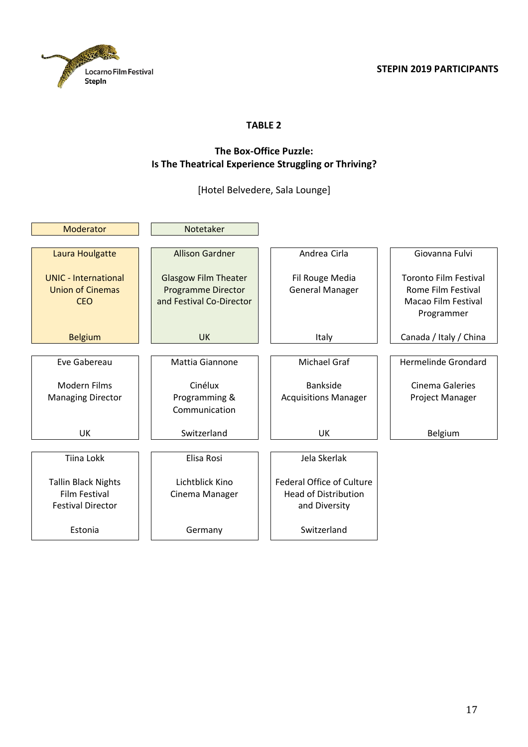

### **The Box-Office Puzzle: Is The Theatrical Experience Struggling or Thriving?**

[Hotel Belvedere, Sala Lounge]

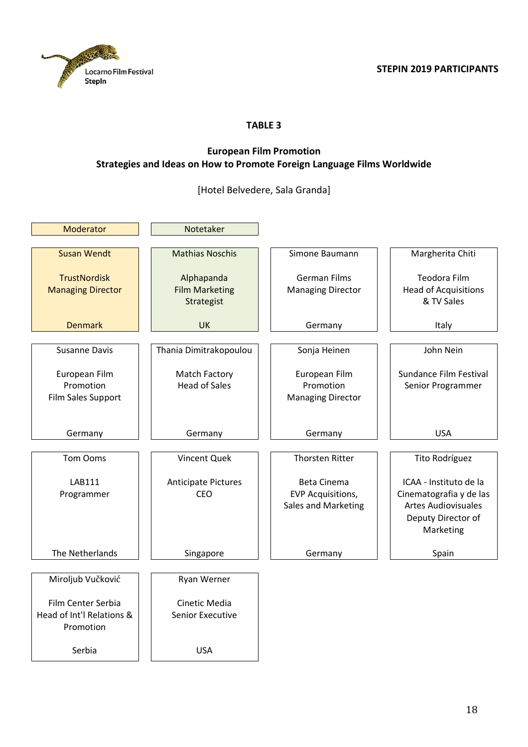

# **European Film Promotion Strategies and Ideas on How to Promote Foreign Language Films Worldwide**

[Hotel Belvedere, Sala Granda]

| Moderator                 | Notetaker                  |                          |                             |
|---------------------------|----------------------------|--------------------------|-----------------------------|
| <b>Susan Wendt</b>        | <b>Mathias Noschis</b>     | Simone Baumann           | Margherita Chiti            |
|                           |                            |                          |                             |
| <b>TrustNordisk</b>       | Alphapanda                 | <b>German Films</b>      | <b>Teodora Film</b>         |
| <b>Managing Director</b>  | <b>Film Marketing</b>      | <b>Managing Director</b> | <b>Head of Acquisitions</b> |
|                           | Strategist                 |                          | & TV Sales                  |
| <b>Denmark</b>            | <b>UK</b>                  | Germany                  | Italy                       |
|                           |                            |                          |                             |
| <b>Susanne Davis</b>      | Thania Dimitrakopoulou     | Sonja Heinen             | John Nein                   |
| European Film             | <b>Match Factory</b>       | European Film            | Sundance Film Festival      |
| Promotion                 | <b>Head of Sales</b>       | Promotion                | Senior Programmer           |
| Film Sales Support        |                            | <b>Managing Director</b> |                             |
|                           |                            |                          |                             |
| Germany                   | Germany                    | Germany                  | <b>USA</b>                  |
|                           |                            |                          |                             |
| Tom Ooms                  | Vincent Quek               | <b>Thorsten Ritter</b>   | Tito Rodríguez              |
| <b>LAB111</b>             | <b>Anticipate Pictures</b> | Beta Cinema              | ICAA - Instituto de la      |
| Programmer                | CEO                        | <b>EVP Acquisitions,</b> | Cinematografia y de las     |
|                           |                            | Sales and Marketing      | <b>Artes Audiovisuales</b>  |
|                           |                            |                          | Deputy Director of          |
|                           |                            |                          | Marketing                   |
| The Netherlands           | Singapore                  | Germany                  | Spain                       |
|                           |                            |                          |                             |
| Miroljub Vučković         | Ryan Werner                |                          |                             |
| Film Center Serbia        | Cinetic Media              |                          |                             |
| Head of Int'l Relations & | Senior Executive           |                          |                             |
| Promotion                 |                            |                          |                             |
| Serbia                    | <b>USA</b>                 |                          |                             |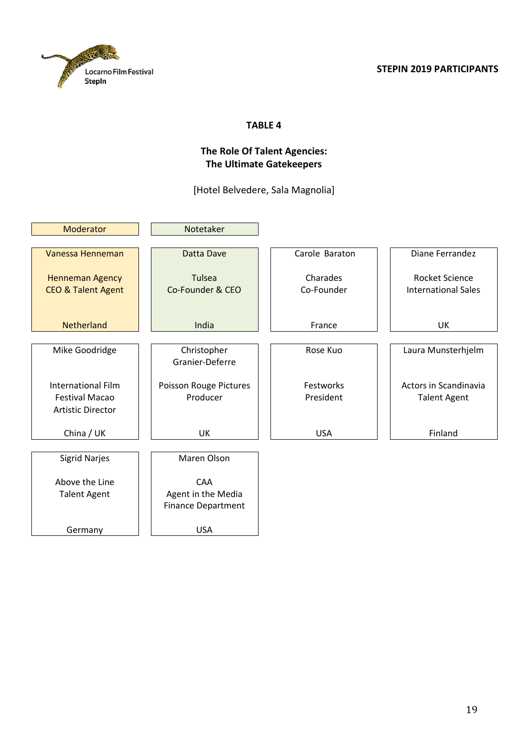

# **The Role Of Talent Agencies: The Ultimate Gatekeepers**

[Hotel Belvedere, Sala Magnolia]

| Moderator                     | Notetaker                 |                |                              |
|-------------------------------|---------------------------|----------------|------------------------------|
|                               |                           |                |                              |
| Vanessa Henneman              | Datta Dave                | Carole Baraton | Diane Ferrandez              |
| <b>Henneman Agency</b>        | <b>Tulsea</b>             | Charades       | <b>Rocket Science</b>        |
| <b>CEO &amp; Talent Agent</b> | Co-Founder & CEO          | Co-Founder     | <b>International Sales</b>   |
|                               |                           |                |                              |
|                               |                           |                |                              |
| Netherland                    | India                     | France         | UK                           |
|                               |                           |                |                              |
| Mike Goodridge                | Christopher               | Rose Kuo       | Laura Munsterhjelm           |
|                               | Granier-Deferre           |                |                              |
| <b>International Film</b>     | Poisson Rouge Pictures    | Festworks      | <b>Actors in Scandinavia</b> |
| <b>Festival Macao</b>         | Producer                  | President      | <b>Talent Agent</b>          |
| <b>Artistic Director</b>      |                           |                |                              |
|                               |                           |                |                              |
| China / UK                    | <b>UK</b>                 | <b>USA</b>     | Finland                      |
|                               |                           |                |                              |
| <b>Sigrid Narjes</b>          | Maren Olson               |                |                              |
| Above the Line                | <b>CAA</b>                |                |                              |
| <b>Talent Agent</b>           | Agent in the Media        |                |                              |
|                               | <b>Finance Department</b> |                |                              |
|                               |                           |                |                              |
| Germany                       | <b>USA</b>                |                |                              |